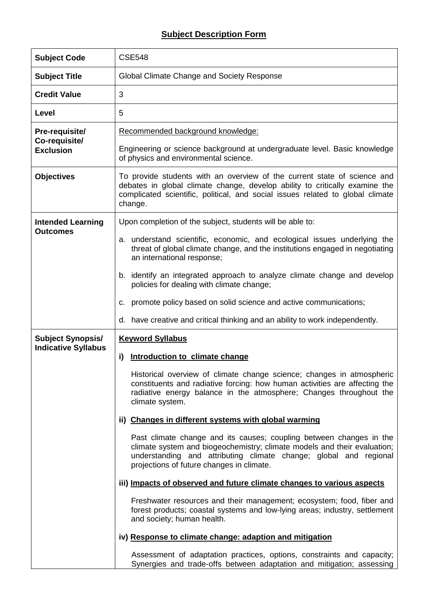## **Subject Description Form**

| <b>Subject Code</b>               | <b>CSE548</b>                                                                                                                                                                                                                                                     |  |  |  |  |
|-----------------------------------|-------------------------------------------------------------------------------------------------------------------------------------------------------------------------------------------------------------------------------------------------------------------|--|--|--|--|
| <b>Subject Title</b>              | Global Climate Change and Society Response                                                                                                                                                                                                                        |  |  |  |  |
| <b>Credit Value</b>               | 3                                                                                                                                                                                                                                                                 |  |  |  |  |
| Level                             | 5                                                                                                                                                                                                                                                                 |  |  |  |  |
| Pre-requisite/                    | Recommended background knowledge:                                                                                                                                                                                                                                 |  |  |  |  |
| Co-requisite/<br><b>Exclusion</b> | Engineering or science background at undergraduate level. Basic knowledge<br>of physics and environmental science.                                                                                                                                                |  |  |  |  |
| <b>Objectives</b>                 | To provide students with an overview of the current state of science and<br>debates in global climate change, develop ability to critically examine the<br>complicated scientific, political, and social issues related to global climate<br>change.              |  |  |  |  |
| <b>Intended Learning</b>          | Upon completion of the subject, students will be able to:                                                                                                                                                                                                         |  |  |  |  |
| <b>Outcomes</b>                   | a. understand scientific, economic, and ecological issues underlying the<br>threat of global climate change, and the institutions engaged in negotiating<br>an international response;                                                                            |  |  |  |  |
|                                   | b. identify an integrated approach to analyze climate change and develop<br>policies for dealing with climate change;                                                                                                                                             |  |  |  |  |
|                                   | promote policy based on solid science and active communications;<br>C.                                                                                                                                                                                            |  |  |  |  |
|                                   | d. have creative and critical thinking and an ability to work independently.                                                                                                                                                                                      |  |  |  |  |
|                                   |                                                                                                                                                                                                                                                                   |  |  |  |  |
| <b>Subject Synopsis/</b>          | <b>Keyword Syllabus</b>                                                                                                                                                                                                                                           |  |  |  |  |
| <b>Indicative Syllabus</b>        | Introduction to climate change<br>i)                                                                                                                                                                                                                              |  |  |  |  |
|                                   | Historical overview of climate change science; changes in atmospheric<br>constituents and radiative forcing: how human activities are affecting the<br>radiative energy balance in the atmosphere; Changes throughout the<br>climate system.                      |  |  |  |  |
|                                   | ii) Changes in different systems with global warming                                                                                                                                                                                                              |  |  |  |  |
|                                   | Past climate change and its causes; coupling between changes in the<br>climate system and biogeochemistry; climate models and their evaluation;<br>understanding and attributing climate change; global and regional<br>projections of future changes in climate. |  |  |  |  |
|                                   | iii) Impacts of observed and future climate changes to various aspects                                                                                                                                                                                            |  |  |  |  |
|                                   | Freshwater resources and their management; ecosystem; food, fiber and<br>forest products; coastal systems and low-lying areas; industry, settlement<br>and society; human health.                                                                                 |  |  |  |  |
|                                   | iv) Response to climate change: adaption and mitigation                                                                                                                                                                                                           |  |  |  |  |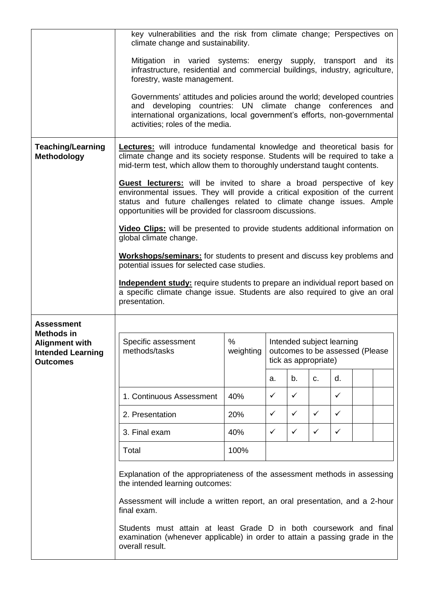|                                                                      | key vulnerabilities and the risk from climate change; Perspectives on<br>climate change and sustainability.                                                                                                                                                                               |      |                                                                                      |              |              |              |  |  |
|----------------------------------------------------------------------|-------------------------------------------------------------------------------------------------------------------------------------------------------------------------------------------------------------------------------------------------------------------------------------------|------|--------------------------------------------------------------------------------------|--------------|--------------|--------------|--|--|
|                                                                      | Mitigation in varied systems: energy supply, transport and its<br>infrastructure, residential and commercial buildings, industry, agriculture,<br>forestry, waste management.                                                                                                             |      |                                                                                      |              |              |              |  |  |
|                                                                      | Governments' attitudes and policies around the world; developed countries<br>developing countries: UN climate change conferences and<br>and<br>international organizations, local government's efforts, non-governmental<br>activities; roles of the media.                               |      |                                                                                      |              |              |              |  |  |
| <b>Teaching/Learning</b><br><b>Methodology</b>                       | <b>Lectures:</b> will introduce fundamental knowledge and theoretical basis for<br>climate change and its society response. Students will be required to take a<br>mid-term test, which allow them to thoroughly understand taught contents.                                              |      |                                                                                      |              |              |              |  |  |
|                                                                      | Guest lecturers: will be invited to share a broad perspective of key<br>environmental issues. They will provide a critical exposition of the current<br>status and future challenges related to climate change issues. Ample<br>opportunities will be provided for classroom discussions. |      |                                                                                      |              |              |              |  |  |
|                                                                      | Video Clips: will be presented to provide students additional information on<br>global climate change.                                                                                                                                                                                    |      |                                                                                      |              |              |              |  |  |
|                                                                      | <b>Workshops/seminars:</b> for students to present and discuss key problems and<br>potential issues for selected case studies.                                                                                                                                                            |      |                                                                                      |              |              |              |  |  |
|                                                                      | Independent study: require students to prepare an individual report based on<br>a specific climate change issue. Students are also required to give an oral<br>presentation.                                                                                                              |      |                                                                                      |              |              |              |  |  |
| <b>Assessment</b><br><b>Methods in</b>                               |                                                                                                                                                                                                                                                                                           |      |                                                                                      |              |              |              |  |  |
| <b>Alignment with</b><br><b>Intended Learning</b><br><b>Outcomes</b> | %<br>Specific assessment<br>weighting<br>methods/tasks                                                                                                                                                                                                                                    |      | Intended subject learning<br>outcomes to be assessed (Please<br>tick as appropriate) |              |              |              |  |  |
|                                                                      |                                                                                                                                                                                                                                                                                           |      | a.                                                                                   | b.           | C.           | d.           |  |  |
|                                                                      | 1. Continuous Assessment                                                                                                                                                                                                                                                                  | 40%  | ✓                                                                                    | ✓            |              | ✓            |  |  |
|                                                                      | 2. Presentation                                                                                                                                                                                                                                                                           | 20%  | ✓                                                                                    | $\checkmark$ | $\checkmark$ | $\checkmark$ |  |  |
|                                                                      | 3. Final exam                                                                                                                                                                                                                                                                             | 40%  | $\checkmark$                                                                         | $\checkmark$ | ✓            | ✓            |  |  |
|                                                                      | Total                                                                                                                                                                                                                                                                                     | 100% |                                                                                      |              |              |              |  |  |
|                                                                      | Explanation of the appropriateness of the assessment methods in assessing<br>the intended learning outcomes:                                                                                                                                                                              |      |                                                                                      |              |              |              |  |  |
|                                                                      | Assessment will include a written report, an oral presentation, and a 2-hour<br>final exam.                                                                                                                                                                                               |      |                                                                                      |              |              |              |  |  |
|                                                                      | Students must attain at least Grade D in both coursework and final<br>examination (whenever applicable) in order to attain a passing grade in the<br>overall result.                                                                                                                      |      |                                                                                      |              |              |              |  |  |